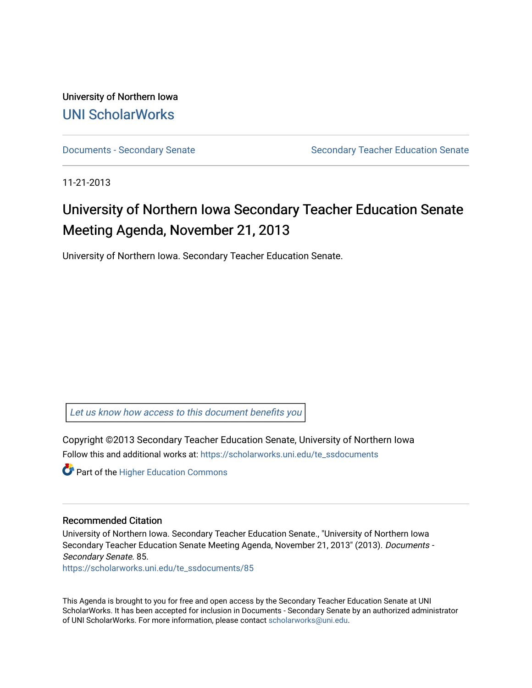University of Northern Iowa [UNI ScholarWorks](https://scholarworks.uni.edu/) 

[Documents - Secondary Senate](https://scholarworks.uni.edu/te_ssdocuments) Senate Secondary Teacher Education Senate

11-21-2013

# University of Northern Iowa Secondary Teacher Education Senate Meeting Agenda, November 21, 2013

University of Northern Iowa. Secondary Teacher Education Senate.

[Let us know how access to this document benefits you](https://scholarworks.uni.edu/feedback_form.html) 

Copyright ©2013 Secondary Teacher Education Senate, University of Northern Iowa Follow this and additional works at: [https://scholarworks.uni.edu/te\\_ssdocuments](https://scholarworks.uni.edu/te_ssdocuments?utm_source=scholarworks.uni.edu%2Fte_ssdocuments%2F85&utm_medium=PDF&utm_campaign=PDFCoverPages) 

**Part of the Higher Education Commons** 

#### Recommended Citation

University of Northern Iowa. Secondary Teacher Education Senate., "University of Northern Iowa Secondary Teacher Education Senate Meeting Agenda, November 21, 2013" (2013). Documents - Secondary Senate. 85.

[https://scholarworks.uni.edu/te\\_ssdocuments/85](https://scholarworks.uni.edu/te_ssdocuments/85?utm_source=scholarworks.uni.edu%2Fte_ssdocuments%2F85&utm_medium=PDF&utm_campaign=PDFCoverPages)

This Agenda is brought to you for free and open access by the Secondary Teacher Education Senate at UNI ScholarWorks. It has been accepted for inclusion in Documents - Secondary Senate by an authorized administrator of UNI ScholarWorks. For more information, please contact [scholarworks@uni.edu](mailto:scholarworks@uni.edu).